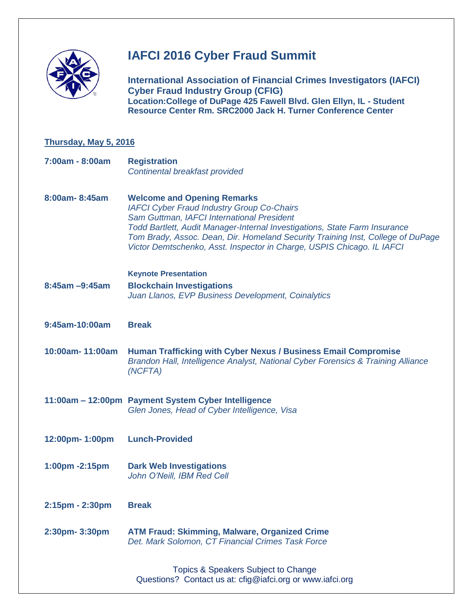

## **IAFCI 2016 Cyber Fraud Summit**

**International Association of Financial Crimes Investigators (IAFCI) Cyber Fraud Industry Group (CFIG) Location:College of DuPage 425 Fawell Blvd. Glen Ellyn, IL - Student Resource Center Rm. SRC2000 Jack H. Turner Conference Center**

## **Thursday, May 5, 2016**

- **7:00am - 8:00am Registration** *Continental breakfast provided*
- **8:00am- 8:45am Welcome and Opening Remarks** *IAFCI Cyber Fraud Industry Group Co-Chairs Sam Guttman, IAFCI International President Todd Bartlett, Audit Manager-Internal Investigations, State Farm Insurance Tom Brady, Assoc. Dean, Dir. Homeland Security Training Inst, College of DuPage Victor Demtschenko, Asst. Inspector in Charge, USPIS Chicago. IL IAFCI*

## **Keynote Presentation**

- **8:45am –9:45am Blockchain Investigations** *Juan Llanos, EVP Business Development, Coinalytics*
- **9:45am-10:00am Break**
- **10:00am- 11:00am Human Trafficking with Cyber Nexus / Business Email Compromise** *Brandon Hall, Intelligence Analyst, National Cyber Forensics & Training Alliance (NCFTA)*
- **11:00am – 12:00pm Payment System Cyber Intelligence** *Glen Jones, Head of Cyber Intelligence, Visa*
- **12:00pm- 1:00pm Lunch-Provided**
- **1:00pm -2:15pm Dark Web Investigations** *John O'Neill, IBM Red Cell*
- **2:15pm - 2:30pm Break**
- **2:30pm- 3:30pm ATM Fraud: Skimming, Malware, Organized Crime**  *Det. Mark Solomon, CT Financial Crimes Task Force*

Topics & Speakers Subject to Change Questions? Contact us at: cfig@iafci.org or www.iafci.org